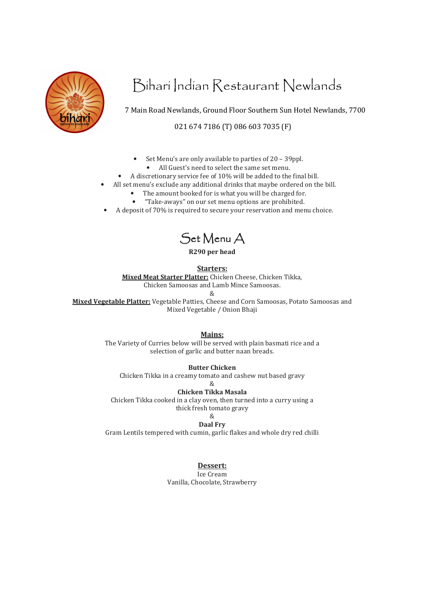

# Bihari Indian Restaurant Newlands

7 Main Road Newlands, Ground Floor Southern Sun Hotel Newlands, 7700

021 674 7186 (T) 086 603 7035 (F)

- Set Menu's are only available to parties of 20 39ppl.
	- All Guest's need to select the same set menu.
- A discretionary service fee of 10% will be added to the final bill.
- All set menu's exclude any additional drinks that maybe ordered on the bill.
	- The amount booked for is what you will be charged for.
	- "Take-aways" on our set menu options are prohibited.
- A deposit of 70% is required to secure your reservation and menu choice.

Set Menu A

**R290 per head** 

**Starters:**

**Mixed Meat Starter Platter:** Chicken Cheese, Chicken Tikka, Chicken Samoosas and Lamb Mince Samoosas.

&

**Mixed Vegetable Platter:** Vegetable Patties, Cheese and Corn Samoosas, Potato Samoosas and Mixed Vegetable / Onion Bhaji

**Mains:**

The Variety of Curries below will be served with plain basmati rice and a selection of garlic and butter naan breads.

**Butter Chicken** 

Chicken Tikka in a creamy tomato and cashew nut based gravy

 $\mathcal{Q}_i$ 

**Chicken Tikka Masala** 

Chicken Tikka cooked in a clay oven, then turned into a curry using a thick fresh tomato gravy

&

### **Daal Fry**

Gram Lentils tempered with cumin, garlic flakes and whole dry red chilli

### **Dessert:**

Ice Cream Vanilla, Chocolate, Strawberry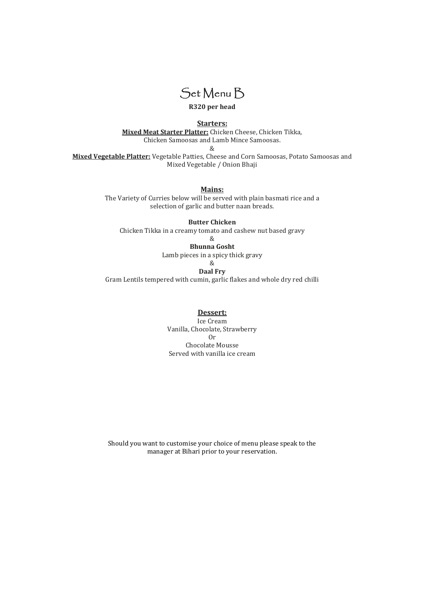

**R320 per head** 

**Starters:**

**Mixed Meat Starter Platter:** Chicken Cheese, Chicken Tikka, Chicken Samoosas and Lamb Mince Samoosas.

&

**Mixed Vegetable Platter:** Vegetable Patties, Cheese and Corn Samoosas, Potato Samoosas and Mixed Vegetable / Onion Bhaji

**Mains:**

The Variety of Curries below will be served with plain basmati rice and a selection of garlic and butter naan breads.

**Butter Chicken**  Chicken Tikka in a creamy tomato and cashew nut based gravy

&

**Bhunna Gosht**  Lamb pieces in a spicy thick gravy &

**Daal Fry** 

Gram Lentils tempered with cumin, garlic flakes and whole dry red chilli

**Dessert:**

Ice Cream Vanilla, Chocolate, Strawberry Or Chocolate Mousse Served with vanilla ice cream

Should you want to customise your choice of menu please speak to the manager at Bihari prior to your reservation.